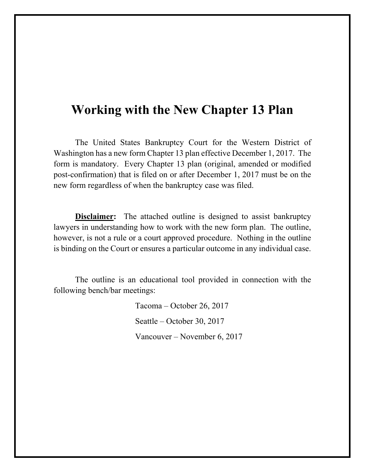# **Working with the New Chapter 13 Plan**

The United States Bankruptcy Court for the Western District of Washington has a new form Chapter 13 plan effective December 1, 2017. The form is mandatory. Every Chapter 13 plan (original, amended or modified post-confirmation) that is filed on or after December 1, 2017 must be on the new form regardless of when the bankruptcy case was filed.

**Disclaimer:** The attached outline is designed to assist bankruptcy lawyers in understanding how to work with the new form plan. The outline, however, is not a rule or a court approved procedure. Nothing in the outline is binding on the Court or ensures a particular outcome in any individual case.

The outline is an educational tool provided in connection with the following bench/bar meetings:

> Tacoma – October 26, 2017 Seattle – October 30, 2017 Vancouver – November 6, 2017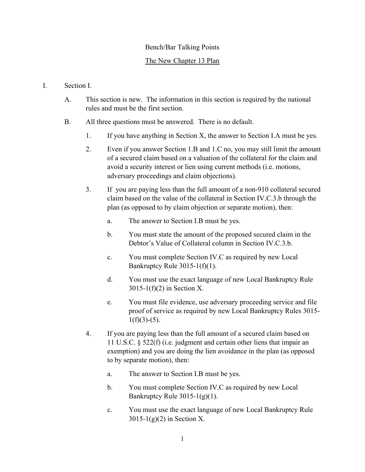## Bench/Bar Talking Points

## The New Chapter 13 Plan

### I. Section I.

- A. This section is new. The information in this section is required by the national rules and must be the first section.
- B. All three questions must be answered. There is no default.
	- 1. If you have anything in Section X, the answer to Section I.A must be yes.
	- 2. Even if you answer Section 1.B and 1.C no, you may still limit the amount of a secured claim based on a valuation of the collateral for the claim and avoid a security interest or lien using current methods (i.e. motions, adversary proceedings and claim objections).
	- 3. If you are paying less than the full amount of a non-910 collateral secured claim based on the value of the collateral in Section IV.C.3.b through the plan (as opposed to by claim objection or separate motion), then:
		- a. The answer to Section I.B must be yes.
		- b. You must state the amount of the proposed secured claim in the Debtor's Value of Collateral column in Section IV.C.3.b.
		- c. You must complete Section IV.C as required by new Local Bankruptcy Rule 3015-1(f)(1).
		- d. You must use the exact language of new Local Bankruptcy Rule 3015-1(f)(2) in Section X.
		- e. You must file evidence, use adversary proceeding service and file proof of service as required by new Local Bankruptcy Rules 3015-  $1(f)(3)-(5)$ .
	- 4. If you are paying less than the full amount of a secured claim based on 11 U.S.C. § 522(f) (i.e. judgment and certain other liens that impair an exemption) and you are doing the lien avoidance in the plan (as opposed to by separate motion), then:
		- a. The answer to Section I.B must be yes.
		- b. You must complete Section IV.C as required by new Local Bankruptcy Rule  $3015-1(g)(1)$ .
		- c. You must use the exact language of new Local Bankruptcy Rule  $3015-1(g)(2)$  in Section X.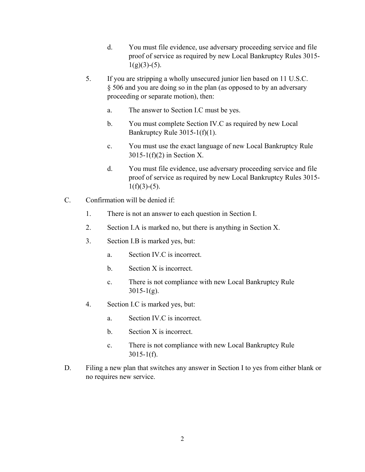- d. You must file evidence, use adversary proceeding service and file proof of service as required by new Local Bankruptcy Rules 3015-  $1(g)(3)-(5)$ .
- 5. If you are stripping a wholly unsecured junior lien based on 11 U.S.C. § 506 and you are doing so in the plan (as opposed to by an adversary proceeding or separate motion), then:
	- a. The answer to Section I.C must be yes.
	- b. You must complete Section IV.C as required by new Local Bankruptcy Rule 3015-1(f)(1).
	- c. You must use the exact language of new Local Bankruptcy Rule 3015-1(f)(2) in Section X.
	- d. You must file evidence, use adversary proceeding service and file proof of service as required by new Local Bankruptcy Rules 3015-  $1(f)(3)-(5)$ .
- C. Confirmation will be denied if:
	- 1. There is not an answer to each question in Section I.
	- 2. Section I.A is marked no, but there is anything in Section X.
	- 3. Section I.B is marked yes, but:
		- a. Section IV.C is incorrect.
		- b. Section X is incorrect.
		- c. There is not compliance with new Local Bankruptcy Rule  $3015 - 1(g)$ .
	- 4. Section I.C is marked yes, but:
		- a. Section IV.C is incorrect.
		- b. Section X is incorrect.
		- c. There is not compliance with new Local Bankruptcy Rule  $3015 - 1(f)$ .
- D. Filing a new plan that switches any answer in Section I to yes from either blank or no requires new service.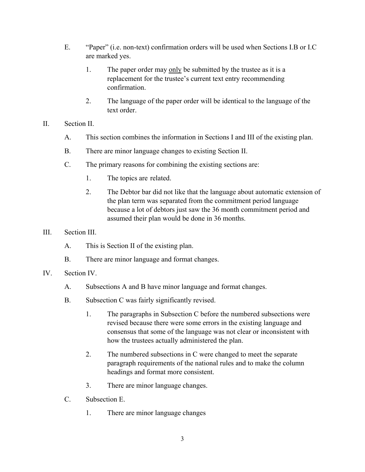- E. "Paper" (i.e. non-text) confirmation orders will be used when Sections I.B or I.C are marked yes.
	- 1. The paper order may only be submitted by the trustee as it is a replacement for the trustee's current text entry recommending confirmation.
	- 2. The language of the paper order will be identical to the language of the text order.
- II. Section II.
	- A. This section combines the information in Sections I and III of the existing plan.
	- B. There are minor language changes to existing Section II.
	- C. The primary reasons for combining the existing sections are:
		- 1. The topics are related.
		- 2. The Debtor bar did not like that the language about automatic extension of the plan term was separated from the commitment period language because a lot of debtors just saw the 36 month commitment period and assumed their plan would be done in 36 months.
- III. Section III.
	- A. This is Section II of the existing plan.
	- B. There are minor language and format changes.
- IV. Section IV.
	- A. Subsections A and B have minor language and format changes.
	- B. Subsection C was fairly significantly revised.
		- 1. The paragraphs in Subsection C before the numbered subsections were revised because there were some errors in the existing language and consensus that some of the language was not clear or inconsistent with how the trustees actually administered the plan.
		- 2. The numbered subsections in C were changed to meet the separate paragraph requirements of the national rules and to make the column headings and format more consistent.
		- 3. There are minor language changes.
	- C. Subsection E.
		- 1. There are minor language changes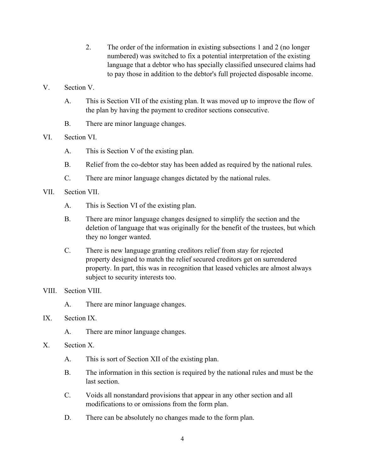- 2. The order of the information in existing subsections 1 and 2 (no longer numbered) was switched to fix a potential interpretation of the existing language that a debtor who has specially classified unsecured claims had to pay those in addition to the debtor's full projected disposable income.
- V. Section V.
	- A. This is Section VII of the existing plan. It was moved up to improve the flow of the plan by having the payment to creditor sections consecutive.
	- B. There are minor language changes.
- VI. Section VI.
	- A. This is Section V of the existing plan.
	- B. Relief from the co-debtor stay has been added as required by the national rules.
	- C. There are minor language changes dictated by the national rules.
- VII. Section VII.
	- A. This is Section VI of the existing plan.
	- B. There are minor language changes designed to simplify the section and the deletion of language that was originally for the benefit of the trustees, but which they no longer wanted.
	- C. There is new language granting creditors relief from stay for rejected property designed to match the relief secured creditors get on surrendered property. In part, this was in recognition that leased vehicles are almost always subject to security interests too.
- VIII. Section VIII.
	- A. There are minor language changes.
- IX. Section IX.
	- A. There are minor language changes.
- X. Section X.
	- A. This is sort of Section XII of the existing plan.
	- B. The information in this section is required by the national rules and must be the last section.
	- C. Voids all nonstandard provisions that appear in any other section and all modifications to or omissions from the form plan.
	- D. There can be absolutely no changes made to the form plan.